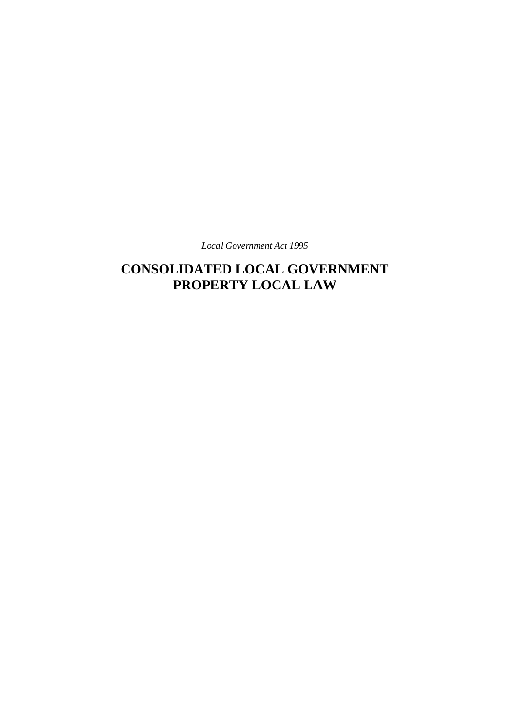*Local Government Act 1995*

# **CONSOLIDATED LOCAL GOVERNMENT PROPERTY LOCAL LAW**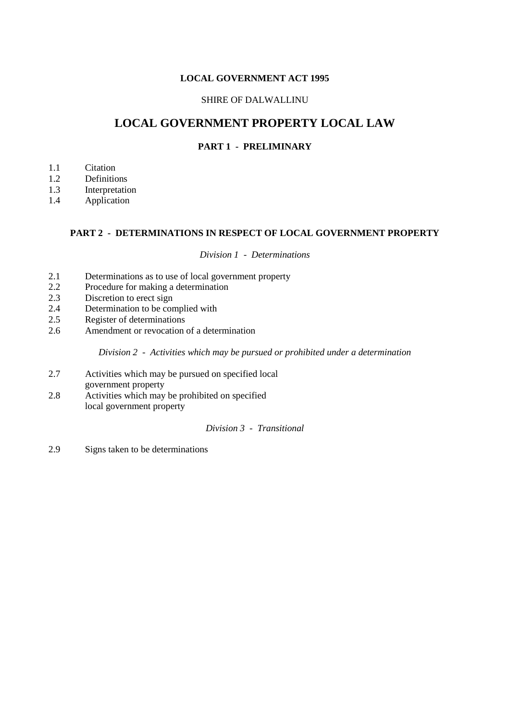# **LOCAL GOVERNMENT ACT 1995**

# SHIRE OF DALWALLINU

# **LOCAL GOVERNMENT PROPERTY LOCAL LAW**

# **PART 1 - PRELIMINARY**

- 1.1 Citation
- 1.2 Definitions
- 1.3 Interpretation
- 1.4 Application

# **PART 2 - DETERMINATIONS IN RESPECT OF LOCAL GOVERNMENT PROPERTY**

*Division 1 - Determinations*

- 2.1 Determinations as to use of local government property<br>2.2 Procedure for making a determination
- Procedure for making a determination
- 2.3 Discretion to erect sign
- 2.4 Determination to be complied with
- 2.5 Register of determinations
- 2.6 Amendment or revocation of a determination

*Division 2 - Activities which may be pursued or prohibited under a determination*

- 2.7 Activities which may be pursued on specified local government property
- 2.8 Activities which may be prohibited on specified local government property

# *Division 3 - Transitional*

2.9 Signs taken to be determinations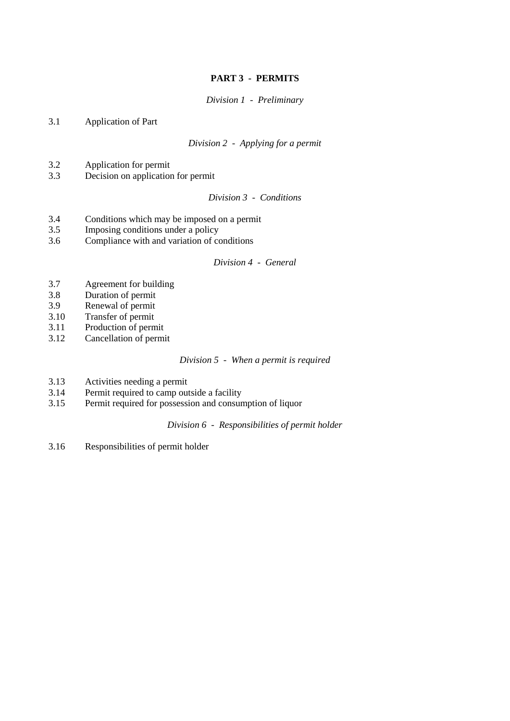# **PART 3 - PERMITS**

*Division 1 - Preliminary*

3.1 Application of Part

*Division 2 - Applying for a permit*

- 3.2 Application for permit
- 3.3 Decision on application for permit

*Division 3 - Conditions*

- 3.4 Conditions which may be imposed on a permit<br>3.5 Imposing conditions under a policy
- Imposing conditions under a policy
- 3.6 Compliance with and variation of conditions

#### *Division 4 - General*

- 3.7 Agreement for building
- 3.8 Duration of permit
- 3.9 Renewal of permit
- 3.10 Transfer of permit
- 3.11 Production of permit
- 3.12 Cancellation of permit

#### *Division 5 - When a permit is required*

- 3.13 Activities needing a permit
- 3.14 Permit required to camp outside a facility
- 3.15 Permit required for possession and consumption of liquor

*Division 6 - Responsibilities of permit holder*

3.16 Responsibilities of permit holder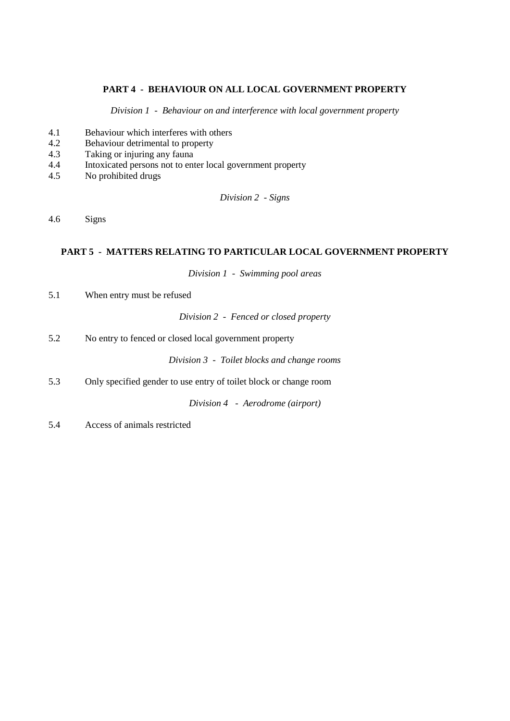# **PART 4 - BEHAVIOUR ON ALL LOCAL GOVERNMENT PROPERTY**

*Division 1 - Behaviour on and interference with local government property*

- 4.1 Behaviour which interferes with others
- 4.2 Behaviour detrimental to property
- 4.3 Taking or injuring any fauna
- 4.4 Intoxicated persons not to enter local government property
- 4.5 No prohibited drugs

*Division 2 - Signs*

4.6 Signs

# **PART 5 - MATTERS RELATING TO PARTICULAR LOCAL GOVERNMENT PROPERTY**

*Division 1 - Swimming pool areas*

5.1 When entry must be refused

*Division 2 - Fenced or closed property*

5.2 No entry to fenced or closed local government property

*Division 3 - Toilet blocks and change rooms*

5.3 Only specified gender to use entry of toilet block or change room

*Division 4 - Aerodrome (airport)*

5.4 Access of animals restricted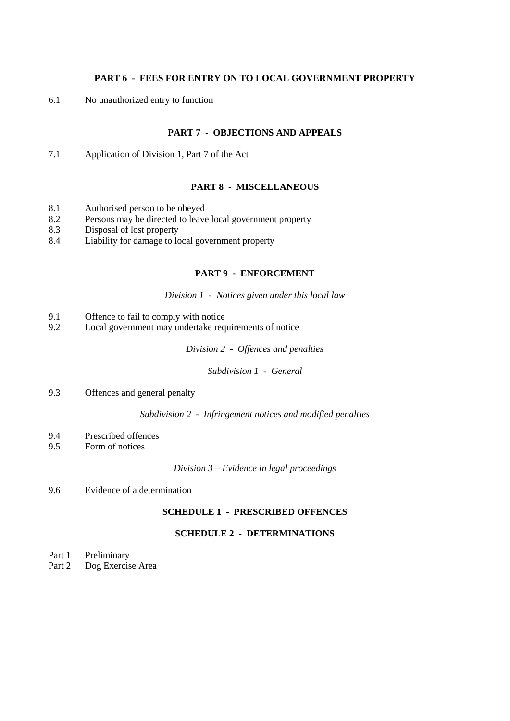# **PART 6 - FEES FOR ENTRY ON TO LOCAL GOVERNMENT PROPERTY**

6.1 No unauthorized entry to function

# **PART 7 - OBJECTIONS AND APPEALS**

7.1 Application of Division 1, Part 7 of the Act

# **PART 8 - MISCELLANEOUS**

- 8.1 Authorised person to be obeyed
- 8.2 Persons may be directed to leave local government property<br>8.3 Disposal of lost property
- Disposal of lost property
- 8.4 Liability for damage to local government property

# **PART 9 - ENFORCEMENT**

*Division 1 - Notices given under this local law*

- 9.1 Offence to fail to comply with notice
- 9.2 Local government may undertake requirements of notice

*Division 2 - Offences and penalties*

*Subdivision 1 - General*

9.3 Offences and general penalty

*Subdivision 2 - Infringement notices and modified penalties*

- 9.4 Prescribed offences
- 9.5 Form of notices

*Division 3 – Evidence in legal proceedings*

9.6 Evidence of a determination

# **SCHEDULE 1 - PRESCRIBED OFFENCES**

# **SCHEDULE 2 - DETERMINATIONS**

- Part 1 Preliminary
- Part 2 Dog Exercise Area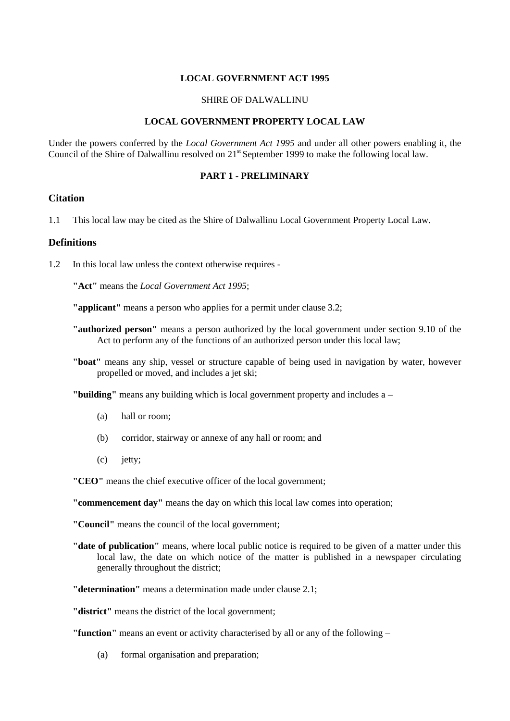### **LOCAL GOVERNMENT ACT 1995**

#### SHIRE OF DALWALLINU

# **LOCAL GOVERNMENT PROPERTY LOCAL LAW**

Under the powers conferred by the *Local Government Act 1995* and under all other powers enabling it, the Council of the Shire of Dalwallinu resolved on 21<sup>st</sup> September 1999 to make the following local law.

#### **PART 1 - PRELIMINARY**

# **Citation**

1.1 This local law may be cited as the Shire of Dalwallinu Local Government Property Local Law.

# **Definitions**

1.2 In this local law unless the context otherwise requires -

**"Act"** means the *Local Government Act 1995*;

**"applicant"** means a person who applies for a permit under clause 3.2;

- **"authorized person"** means a person authorized by the local government under section 9.10 of the Act to perform any of the functions of an authorized person under this local law;
- **"boat"** means any ship, vessel or structure capable of being used in navigation by water, however propelled or moved, and includes a jet ski;

**"building"** means any building which is local government property and includes a –

- (a) hall or room;
- (b) corridor, stairway or annexe of any hall or room; and
- (c) jetty;

**"CEO"** means the chief executive officer of the local government;

**"commencement day"** means the day on which this local law comes into operation;

**"Council"** means the council of the local government;

- **"date of publication"** means, where local public notice is required to be given of a matter under this local law, the date on which notice of the matter is published in a newspaper circulating generally throughout the district;
- **"determination"** means a determination made under clause 2.1;

**"district"** means the district of the local government;

**"function"** means an event or activity characterised by all or any of the following –

(a) formal organisation and preparation;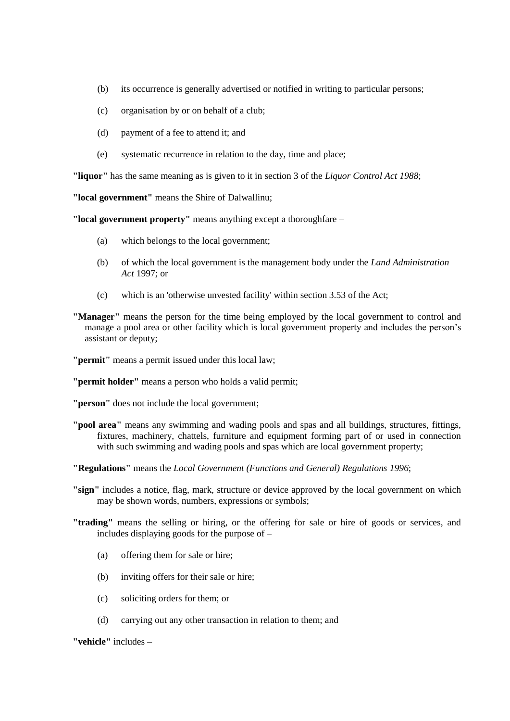- (b) its occurrence is generally advertised or notified in writing to particular persons;
- (c) organisation by or on behalf of a club;
- (d) payment of a fee to attend it; and
- (e) systematic recurrence in relation to the day, time and place;

**"liquor"** has the same meaning as is given to it in section 3 of the *Liquor Control Act 1988*;

**"local government"** means the Shire of Dalwallinu;

**"local government property"** means anything except a thoroughfare –

- (a) which belongs to the local government;
- (b) of which the local government is the management body under the *Land Administration Act* 1997; or
- (c) which is an 'otherwise unvested facility' within section 3.53 of the Act;
- **"Manager"** means the person for the time being employed by the local government to control and manage a pool area or other facility which is local government property and includes the person's assistant or deputy;
- **"permit"** means a permit issued under this local law;
- **"permit holder"** means a person who holds a valid permit;
- **"person"** does not include the local government;
- **"pool area"** means any swimming and wading pools and spas and all buildings, structures, fittings, fixtures, machinery, chattels, furniture and equipment forming part of or used in connection with such swimming and wading pools and spas which are local government property;
- **"Regulations"** means the *Local Government (Functions and General) Regulations 1996*;
- **"sign"** includes a notice, flag, mark, structure or device approved by the local government on which may be shown words, numbers, expressions or symbols;
- **"trading"** means the selling or hiring, or the offering for sale or hire of goods or services, and includes displaying goods for the purpose of –
	- (a) offering them for sale or hire;
	- (b) inviting offers for their sale or hire;
	- (c) soliciting orders for them; or
	- (d) carrying out any other transaction in relation to them; and

**"vehicle"** includes –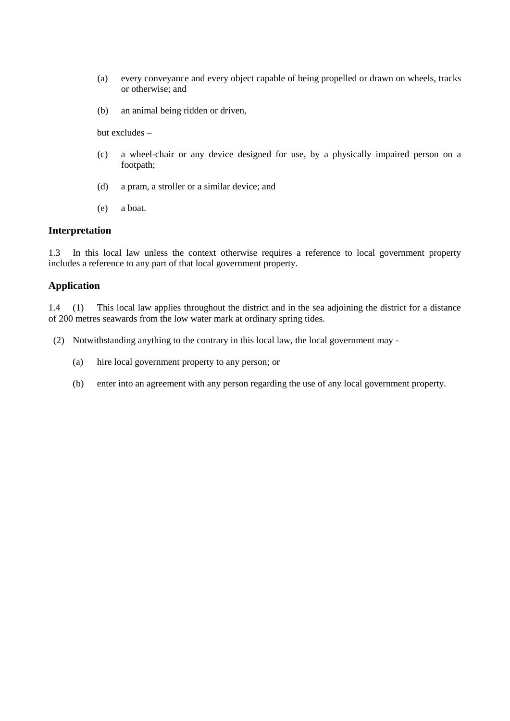- (a) every conveyance and every object capable of being propelled or drawn on wheels, tracks or otherwise; and
- (b) an animal being ridden or driven,

but excludes –

- (c) a wheel-chair or any device designed for use, by a physically impaired person on a footpath;
- (d) a pram, a stroller or a similar device; and
- (e) a boat.

# **Interpretation**

1.3 In this local law unless the context otherwise requires a reference to local government property includes a reference to any part of that local government property.

# **Application**

1.4 (1) This local law applies throughout the district and in the sea adjoining the district for a distance of 200 metres seawards from the low water mark at ordinary spring tides.

- (2) Notwithstanding anything to the contrary in this local law, the local government may
	- (a) hire local government property to any person; or
	- (b) enter into an agreement with any person regarding the use of any local government property.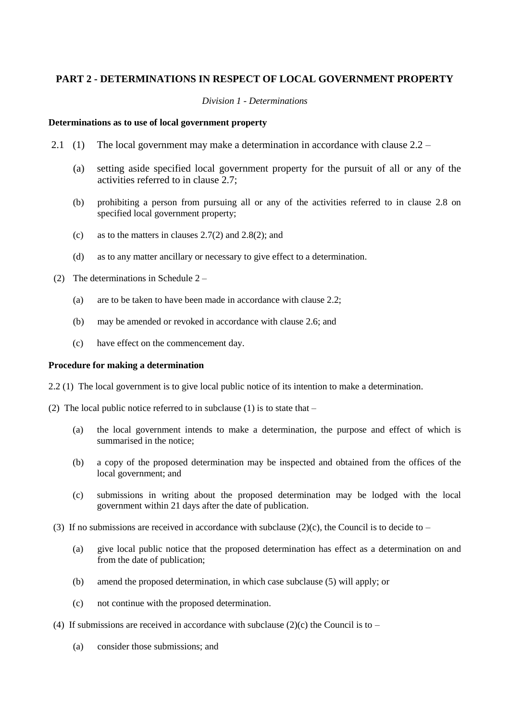# **PART 2 - DETERMINATIONS IN RESPECT OF LOCAL GOVERNMENT PROPERTY**

#### *Division 1 - Determinations*

#### **Determinations as to use of local government property**

- 2.1 (1) The local government may make a determination in accordance with clause 2.2
	- (a) setting aside specified local government property for the pursuit of all or any of the activities referred to in clause 2.7;
	- (b) prohibiting a person from pursuing all or any of the activities referred to in clause 2.8 on specified local government property;
	- (c) as to the matters in clauses 2.7(2) and 2.8(2); and
	- (d) as to any matter ancillary or necessary to give effect to a determination.
- (2) The determinations in Schedule 2
	- (a) are to be taken to have been made in accordance with clause 2.2;
	- (b) may be amended or revoked in accordance with clause 2.6; and
	- (c) have effect on the commencement day.

#### **Procedure for making a determination**

2.2 (1) The local government is to give local public notice of its intention to make a determination.

(2) The local public notice referred to in subclause (1) is to state that –

- (a) the local government intends to make a determination, the purpose and effect of which is summarised in the notice;
- (b) a copy of the proposed determination may be inspected and obtained from the offices of the local government; and
- (c) submissions in writing about the proposed determination may be lodged with the local government within 21 days after the date of publication.
- (3) If no submissions are received in accordance with subclause (2)(c), the Council is to decide to
	- (a) give local public notice that the proposed determination has effect as a determination on and from the date of publication;
	- (b) amend the proposed determination, in which case subclause (5) will apply; or
	- (c) not continue with the proposed determination.
- (4) If submissions are received in accordance with subclause (2)(c) the Council is to
	- (a) consider those submissions; and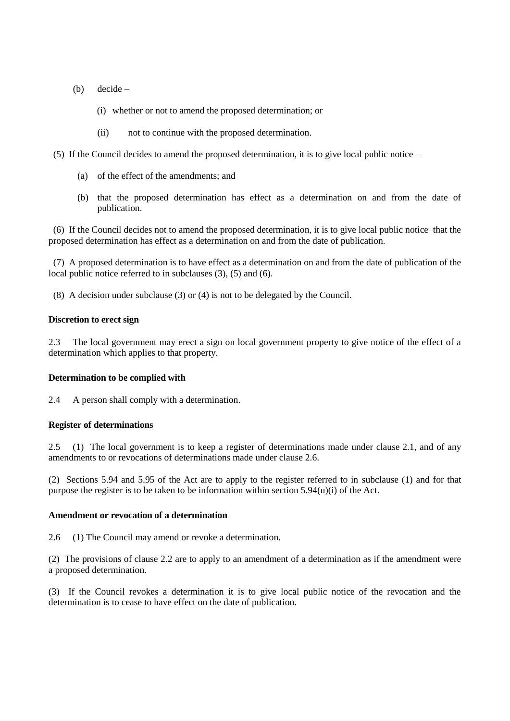- (b) decide
	- (i) whether or not to amend the proposed determination; or
	- (ii) not to continue with the proposed determination.
- (5) If the Council decides to amend the proposed determination, it is to give local public notice
	- (a) of the effect of the amendments; and
	- (b) that the proposed determination has effect as a determination on and from the date of publication.

 (6) If the Council decides not to amend the proposed determination, it is to give local public notice that the proposed determination has effect as a determination on and from the date of publication.

 (7) A proposed determination is to have effect as a determination on and from the date of publication of the local public notice referred to in subclauses (3), (5) and (6).

(8) A decision under subclause (3) or (4) is not to be delegated by the Council.

#### **Discretion to erect sign**

2.3 The local government may erect a sign on local government property to give notice of the effect of a determination which applies to that property.

#### **Determination to be complied with**

2.4 A person shall comply with a determination.

#### **Register of determinations**

2.5 (1) The local government is to keep a register of determinations made under clause 2.1, and of any amendments to or revocations of determinations made under clause 2.6.

(2) Sections 5.94 and 5.95 of the Act are to apply to the register referred to in subclause (1) and for that purpose the register is to be taken to be information within section  $5.94(u)(i)$  of the Act.

#### **Amendment or revocation of a determination**

2.6 (1) The Council may amend or revoke a determination.

(2) The provisions of clause 2.2 are to apply to an amendment of a determination as if the amendment were a proposed determination.

(3) If the Council revokes a determination it is to give local public notice of the revocation and the determination is to cease to have effect on the date of publication.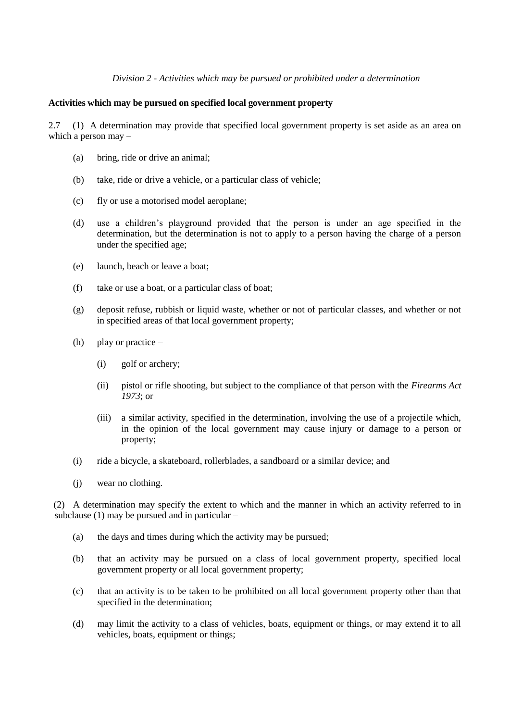#### *Division 2 - Activities which may be pursued or prohibited under a determination*

#### **Activities which may be pursued on specified local government property**

2.7 (1) A determination may provide that specified local government property is set aside as an area on which a person may –

- (a) bring, ride or drive an animal;
- (b) take, ride or drive a vehicle, or a particular class of vehicle;
- (c) fly or use a motorised model aeroplane;
- (d) use a children's playground provided that the person is under an age specified in the determination, but the determination is not to apply to a person having the charge of a person under the specified age;
- (e) launch, beach or leave a boat;
- (f) take or use a boat, or a particular class of boat;
- (g) deposit refuse, rubbish or liquid waste, whether or not of particular classes, and whether or not in specified areas of that local government property;
- (h) play or practice
	- (i) golf or archery;
	- (ii) pistol or rifle shooting, but subject to the compliance of that person with the *Firearms Act 1973*; or
	- (iii) a similar activity, specified in the determination, involving the use of a projectile which, in the opinion of the local government may cause injury or damage to a person or property;
- (i) ride a bicycle, a skateboard, rollerblades, a sandboard or a similar device; and
- (j) wear no clothing.

(2) A determination may specify the extent to which and the manner in which an activity referred to in subclause (1) may be pursued and in particular –

- (a) the days and times during which the activity may be pursued;
- (b) that an activity may be pursued on a class of local government property, specified local government property or all local government property;
- (c) that an activity is to be taken to be prohibited on all local government property other than that specified in the determination;
- (d) may limit the activity to a class of vehicles, boats, equipment or things, or may extend it to all vehicles, boats, equipment or things;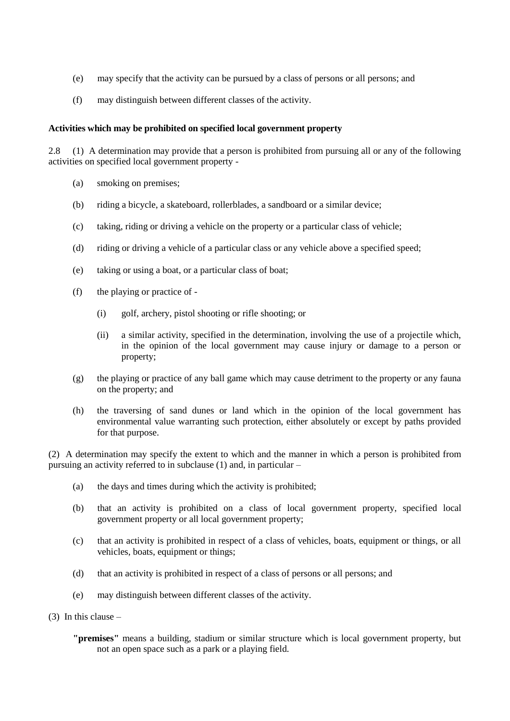- (e) may specify that the activity can be pursued by a class of persons or all persons; and
- (f) may distinguish between different classes of the activity.

# **Activities which may be prohibited on specified local government property**

2.8 (1) A determination may provide that a person is prohibited from pursuing all or any of the following activities on specified local government property -

- (a) smoking on premises;
- (b) riding a bicycle, a skateboard, rollerblades, a sandboard or a similar device;
- (c) taking, riding or driving a vehicle on the property or a particular class of vehicle;
- (d) riding or driving a vehicle of a particular class or any vehicle above a specified speed;
- (e) taking or using a boat, or a particular class of boat;
- (f) the playing or practice of
	- (i) golf, archery, pistol shooting or rifle shooting; or
	- (ii) a similar activity, specified in the determination, involving the use of a projectile which, in the opinion of the local government may cause injury or damage to a person or property;
- (g) the playing or practice of any ball game which may cause detriment to the property or any fauna on the property; and
- (h) the traversing of sand dunes or land which in the opinion of the local government has environmental value warranting such protection, either absolutely or except by paths provided for that purpose.

(2) A determination may specify the extent to which and the manner in which a person is prohibited from pursuing an activity referred to in subclause (1) and, in particular –

- (a) the days and times during which the activity is prohibited;
- (b) that an activity is prohibited on a class of local government property, specified local government property or all local government property;
- (c) that an activity is prohibited in respect of a class of vehicles, boats, equipment or things, or all vehicles, boats, equipment or things;
- (d) that an activity is prohibited in respect of a class of persons or all persons; and
- (e) may distinguish between different classes of the activity.
- (3) In this clause
	- **"premises"** means a building, stadium or similar structure which is local government property, but not an open space such as a park or a playing field.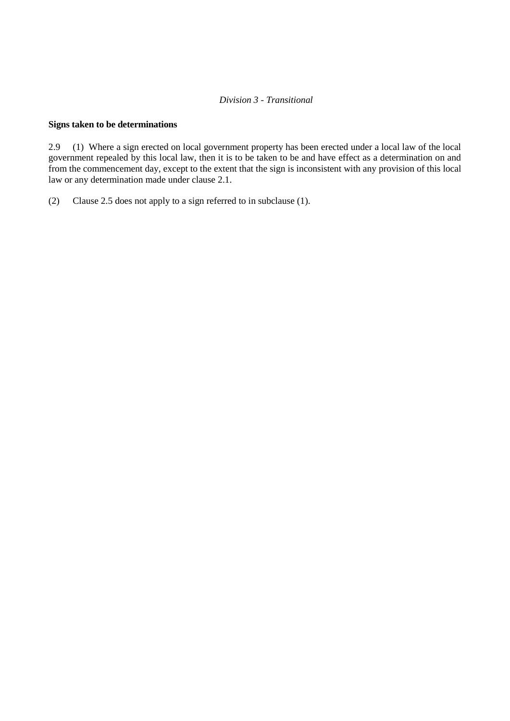# *Division 3 - Transitional*

#### **Signs taken to be determinations**

2.9 (1) Where a sign erected on local government property has been erected under a local law of the local government repealed by this local law, then it is to be taken to be and have effect as a determination on and from the commencement day, except to the extent that the sign is inconsistent with any provision of this local law or any determination made under clause 2.1.

(2) Clause 2.5 does not apply to a sign referred to in subclause (1).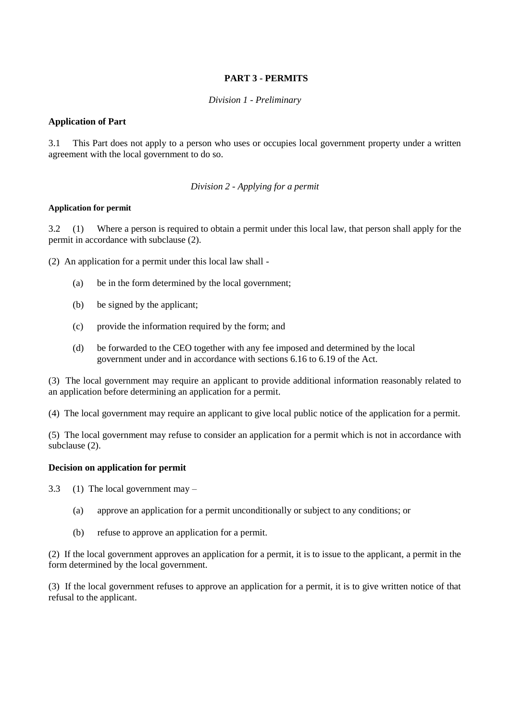# **PART 3 - PERMITS**

# *Division 1 - Preliminary*

# **Application of Part**

3.1 This Part does not apply to a person who uses or occupies local government property under a written agreement with the local government to do so.

# *Division 2 - Applying for a permit*

# **Application for permit**

3.2 (1) Where a person is required to obtain a permit under this local law, that person shall apply for the permit in accordance with subclause (2).

(2) An application for a permit under this local law shall -

- (a) be in the form determined by the local government;
- (b) be signed by the applicant;
- (c) provide the information required by the form; and
- (d) be forwarded to the CEO together with any fee imposed and determined by the local government under and in accordance with sections 6.16 to 6.19 of the Act.

(3) The local government may require an applicant to provide additional information reasonably related to an application before determining an application for a permit.

(4) The local government may require an applicant to give local public notice of the application for a permit.

(5) The local government may refuse to consider an application for a permit which is not in accordance with subclause (2).

# **Decision on application for permit**

3.3 (1) The local government may –

- (a) approve an application for a permit unconditionally or subject to any conditions; or
- (b) refuse to approve an application for a permit.

(2) If the local government approves an application for a permit, it is to issue to the applicant, a permit in the form determined by the local government.

(3) If the local government refuses to approve an application for a permit, it is to give written notice of that refusal to the applicant.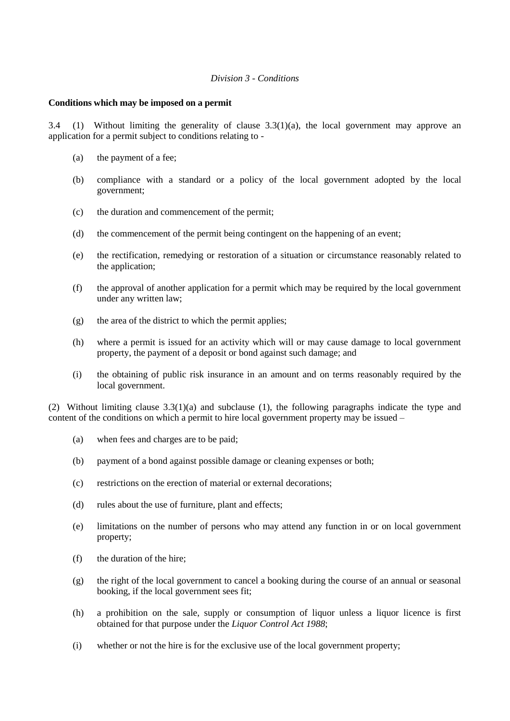#### *Division 3 - Conditions*

#### **Conditions which may be imposed on a permit**

3.4 (1) Without limiting the generality of clause  $3.3(1)(a)$ , the local government may approve an application for a permit subject to conditions relating to -

- (a) the payment of a fee;
- (b) compliance with a standard or a policy of the local government adopted by the local government;
- (c) the duration and commencement of the permit;
- (d) the commencement of the permit being contingent on the happening of an event;
- (e) the rectification, remedying or restoration of a situation or circumstance reasonably related to the application;
- (f) the approval of another application for a permit which may be required by the local government under any written law;
- (g) the area of the district to which the permit applies;
- (h) where a permit is issued for an activity which will or may cause damage to local government property, the payment of a deposit or bond against such damage; and
- (i) the obtaining of public risk insurance in an amount and on terms reasonably required by the local government.

(2) Without limiting clause 3.3(1)(a) and subclause (1), the following paragraphs indicate the type and content of the conditions on which a permit to hire local government property may be issued –

- (a) when fees and charges are to be paid;
- (b) payment of a bond against possible damage or cleaning expenses or both;
- (c) restrictions on the erection of material or external decorations;
- (d) rules about the use of furniture, plant and effects;
- (e) limitations on the number of persons who may attend any function in or on local government property;
- (f) the duration of the hire;
- (g) the right of the local government to cancel a booking during the course of an annual or seasonal booking, if the local government sees fit;
- (h) a prohibition on the sale, supply or consumption of liquor unless a liquor licence is first obtained for that purpose under the *Liquor Control Act 1988*;
- (i) whether or not the hire is for the exclusive use of the local government property;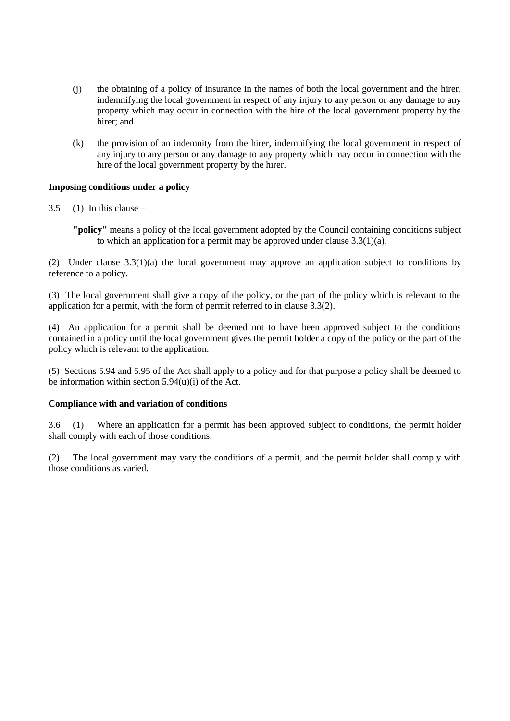- (j) the obtaining of a policy of insurance in the names of both the local government and the hirer, indemnifying the local government in respect of any injury to any person or any damage to any property which may occur in connection with the hire of the local government property by the hirer; and
- (k) the provision of an indemnity from the hirer, indemnifying the local government in respect of any injury to any person or any damage to any property which may occur in connection with the hire of the local government property by the hirer.

# **Imposing conditions under a policy**

- $3.5$  (1) In this clause
	- **"policy"** means a policy of the local government adopted by the Council containing conditions subject to which an application for a permit may be approved under clause  $3.3(1)(a)$ .

(2) Under clause 3.3(1)(a) the local government may approve an application subject to conditions by reference to a policy.

(3) The local government shall give a copy of the policy, or the part of the policy which is relevant to the application for a permit, with the form of permit referred to in clause 3.3(2).

(4) An application for a permit shall be deemed not to have been approved subject to the conditions contained in a policy until the local government gives the permit holder a copy of the policy or the part of the policy which is relevant to the application.

(5) Sections 5.94 and 5.95 of the Act shall apply to a policy and for that purpose a policy shall be deemed to be information within section 5.94(u)(i) of the Act.

# **Compliance with and variation of conditions**

3.6 (1) Where an application for a permit has been approved subject to conditions, the permit holder shall comply with each of those conditions.

(2) The local government may vary the conditions of a permit, and the permit holder shall comply with those conditions as varied.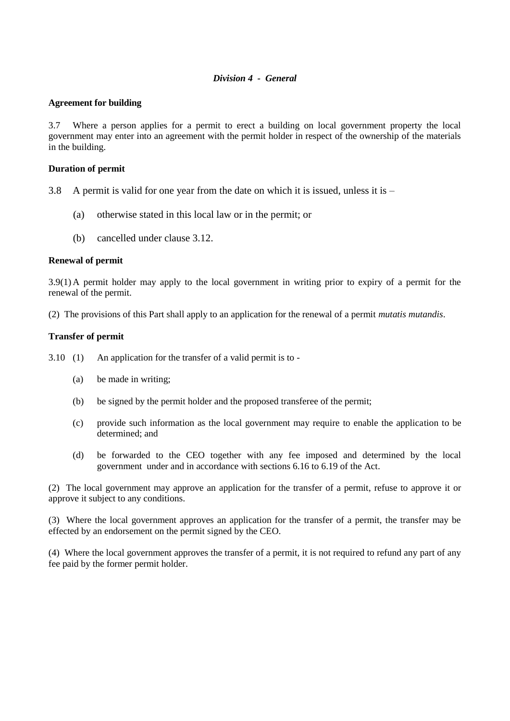# *Division 4 - General*

#### **Agreement for building**

3.7 Where a person applies for a permit to erect a building on local government property the local government may enter into an agreement with the permit holder in respect of the ownership of the materials in the building.

#### **Duration of permit**

- 3.8 A permit is valid for one year from the date on which it is issued, unless it is  $-$ 
	- (a) otherwise stated in this local law or in the permit; or
	- (b) cancelled under clause 3.12.

#### **Renewal of permit**

3.9(1) A permit holder may apply to the local government in writing prior to expiry of a permit for the renewal of the permit.

(2) The provisions of this Part shall apply to an application for the renewal of a permit *mutatis mutandis*.

# **Transfer of permit**

3.10 (1) An application for the transfer of a valid permit is to -

- (a) be made in writing;
- (b) be signed by the permit holder and the proposed transferee of the permit;
- (c) provide such information as the local government may require to enable the application to be determined; and
- (d) be forwarded to the CEO together with any fee imposed and determined by the local government under and in accordance with sections 6.16 to 6.19 of the Act.

(2) The local government may approve an application for the transfer of a permit, refuse to approve it or approve it subject to any conditions.

(3) Where the local government approves an application for the transfer of a permit, the transfer may be effected by an endorsement on the permit signed by the CEO.

(4) Where the local government approves the transfer of a permit, it is not required to refund any part of any fee paid by the former permit holder.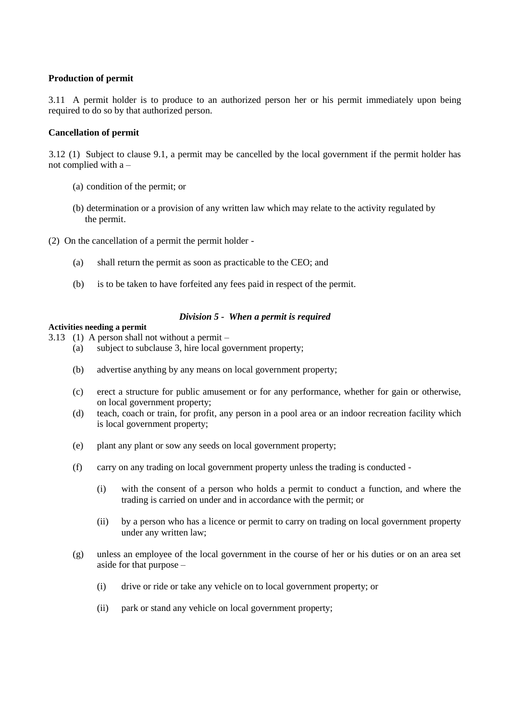# **Production of permit**

3.11 A permit holder is to produce to an authorized person her or his permit immediately upon being required to do so by that authorized person.

# **Cancellation of permit**

3.12 (1) Subject to clause 9.1, a permit may be cancelled by the local government if the permit holder has not complied with a –

- (a) condition of the permit; or
- (b) determination or a provision of any written law which may relate to the activity regulated by the permit.
- (2) On the cancellation of a permit the permit holder
	- (a) shall return the permit as soon as practicable to the CEO; and
	- (b) is to be taken to have forfeited any fees paid in respect of the permit.

# *Division 5 - When a permit is required*

# **Activities needing a permit**

- 3.13 (1) A person shall not without a permit
	- (a) subject to subclause 3, hire local government property;
	- (b) advertise anything by any means on local government property;
	- (c) erect a structure for public amusement or for any performance, whether for gain or otherwise, on local government property;
	- (d) teach, coach or train, for profit, any person in a pool area or an indoor recreation facility which is local government property;
	- (e) plant any plant or sow any seeds on local government property;
	- (f) carry on any trading on local government property unless the trading is conducted
		- (i) with the consent of a person who holds a permit to conduct a function, and where the trading is carried on under and in accordance with the permit; or
		- (ii) by a person who has a licence or permit to carry on trading on local government property under any written law;
	- (g) unless an employee of the local government in the course of her or his duties or on an area set aside for that purpose –
		- (i) drive or ride or take any vehicle on to local government property; or
		- (ii) park or stand any vehicle on local government property;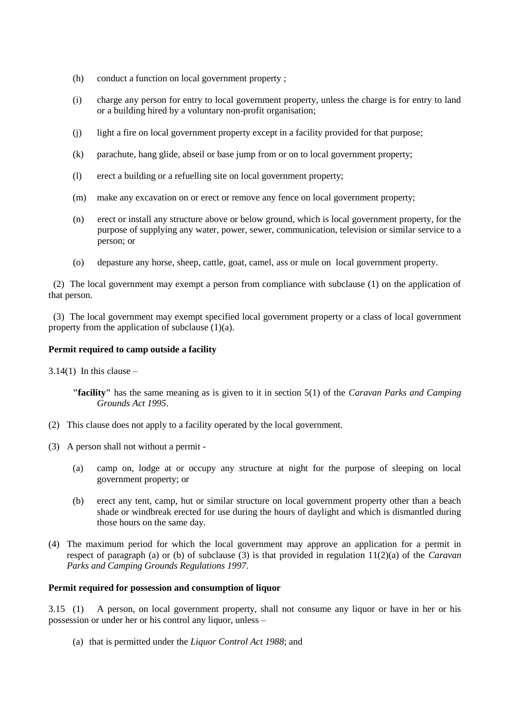- (h) conduct a function on local government property ;
- (i) charge any person for entry to local government property, unless the charge is for entry to land or a building hired by a voluntary non-profit organisation;
- (j) light a fire on local government property except in a facility provided for that purpose;
- (k) parachute, hang glide, abseil or base jump from or on to local government property;
- (l) erect a building or a refuelling site on local government property;
- (m) make any excavation on or erect or remove any fence on local government property;
- (n) erect or install any structure above or below ground, which is local government property, for the purpose of supplying any water, power, sewer, communication, television or similar service to a person; or
- (o) depasture any horse, sheep, cattle, goat, camel, ass or mule on local government property.

 (2) The local government may exempt a person from compliance with subclause (1) on the application of that person.

 (3) The local government may exempt specified local government property or a class of local government property from the application of subclause (1)(a).

#### **Permit required to camp outside a facility**

 $3.14(1)$  In this clause –

- (2) This clause does not apply to a facility operated by the local government.
- (3) A person shall not without a permit
	- (a) camp on, lodge at or occupy any structure at night for the purpose of sleeping on local government property; or
	- (b) erect any tent, camp, hut or similar structure on local government property other than a beach shade or windbreak erected for use during the hours of daylight and which is dismantled during those hours on the same day.
- (4) The maximum period for which the local government may approve an application for a permit in respect of paragraph (a) or (b) of subclause (3) is that provided in regulation 11(2)(a) of the *Caravan Parks and Camping Grounds Regulations 1997*.

#### **Permit required for possession and consumption of liquor**

3.15 (1) A person, on local government property, shall not consume any liquor or have in her or his possession or under her or his control any liquor, unless –

(a) that is permitted under the *Liquor Control Act 1988*; and

**<sup>&</sup>quot;facility"** has the same meaning as is given to it in section 5(1) of the *Caravan Parks and Camping Grounds Act 1995*.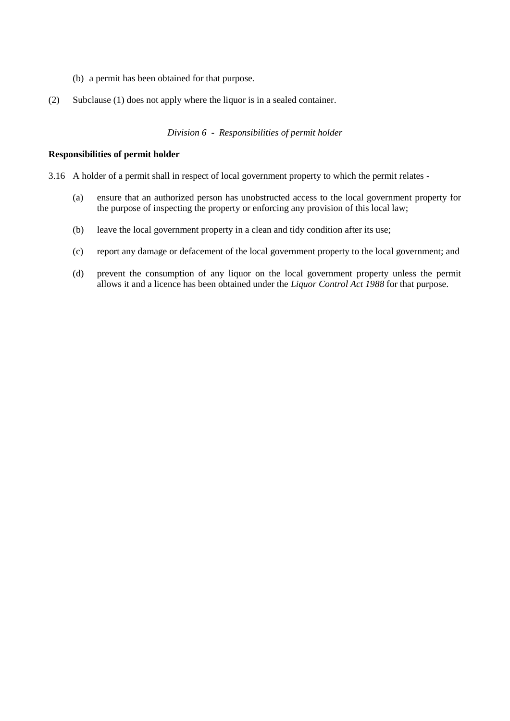- (b) a permit has been obtained for that purpose.
- (2) Subclause (1) does not apply where the liquor is in a sealed container.

*Division 6 - Responsibilities of permit holder*

#### **Responsibilities of permit holder**

- 3.16 A holder of a permit shall in respect of local government property to which the permit relates
	- (a) ensure that an authorized person has unobstructed access to the local government property for the purpose of inspecting the property or enforcing any provision of this local law;
	- (b) leave the local government property in a clean and tidy condition after its use;
	- (c) report any damage or defacement of the local government property to the local government; and
	- (d) prevent the consumption of any liquor on the local government property unless the permit allows it and a licence has been obtained under the *Liquor Control Act 1988* for that purpose.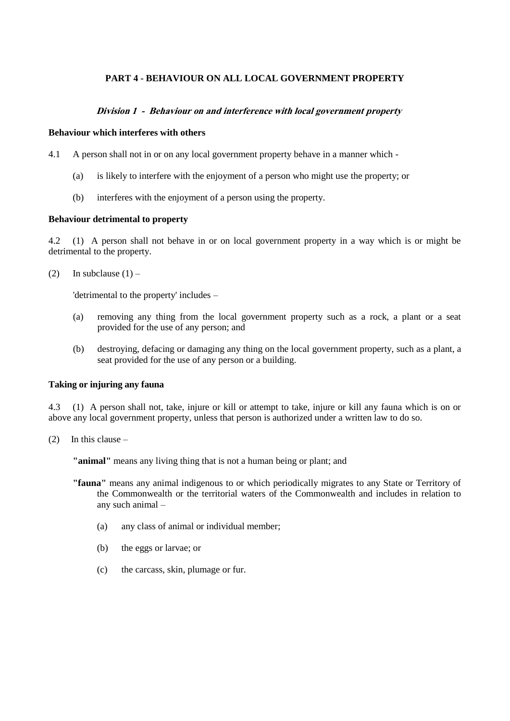# **PART 4 - BEHAVIOUR ON ALL LOCAL GOVERNMENT PROPERTY**

# **Division 1 - Behaviour on and interference with local government property**

#### **Behaviour which interferes with others**

- 4.1 A person shall not in or on any local government property behave in a manner which
	- (a) is likely to interfere with the enjoyment of a person who might use the property; or
	- (b) interferes with the enjoyment of a person using the property.

#### **Behaviour detrimental to property**

4.2 (1) A person shall not behave in or on local government property in a way which is or might be detrimental to the property.

(2) In subclause  $(1)$  –

'detrimental to the property' includes –

- (a) removing any thing from the local government property such as a rock, a plant or a seat provided for the use of any person; and
- (b) destroying, defacing or damaging any thing on the local government property, such as a plant, a seat provided for the use of any person or a building.

# **Taking or injuring any fauna**

4.3 (1) A person shall not, take, injure or kill or attempt to take, injure or kill any fauna which is on or above any local government property, unless that person is authorized under a written law to do so.

(2) In this clause –

**"animal"** means any living thing that is not a human being or plant; and

- **"fauna"** means any animal indigenous to or which periodically migrates to any State or Territory of the Commonwealth or the territorial waters of the Commonwealth and includes in relation to any such animal –
	- (a) any class of animal or individual member;
	- (b) the eggs or larvae; or
	- (c) the carcass, skin, plumage or fur.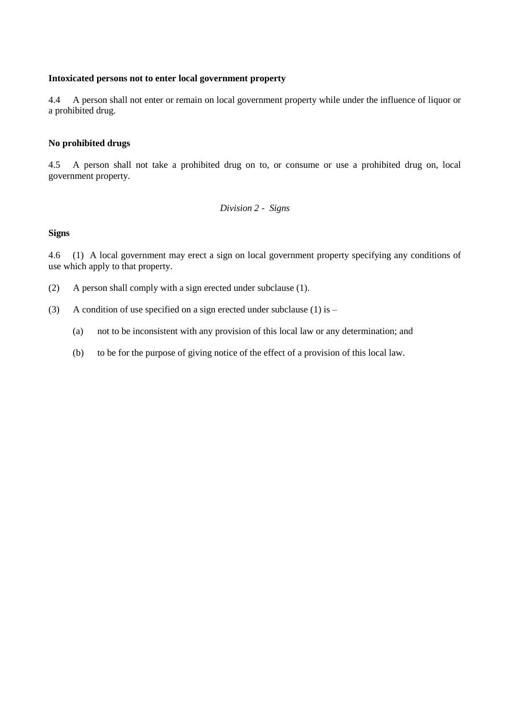# **Intoxicated persons not to enter local government property**

4.4 A person shall not enter or remain on local government property while under the influence of liquor or a prohibited drug.

#### **No prohibited drugs**

4.5 A person shall not take a prohibited drug on to, or consume or use a prohibited drug on, local government property.

*Division 2 - Signs*

# **Signs**

4.6 (1) A local government may erect a sign on local government property specifying any conditions of use which apply to that property.

- (2) A person shall comply with a sign erected under subclause (1).
- (3) A condition of use specified on a sign erected under subclause (1) is  $-$ 
	- (a) not to be inconsistent with any provision of this local law or any determination; and
	- (b) to be for the purpose of giving notice of the effect of a provision of this local law.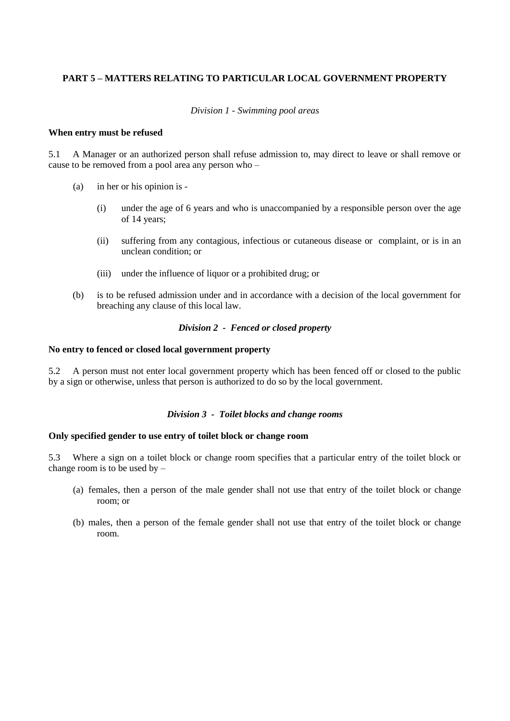# **PART 5 – MATTERS RELATING TO PARTICULAR LOCAL GOVERNMENT PROPERTY**

#### *Division 1 - Swimming pool areas*

#### **When entry must be refused**

5.1 A Manager or an authorized person shall refuse admission to, may direct to leave or shall remove or cause to be removed from a pool area any person who –

- (a) in her or his opinion is
	- (i) under the age of 6 years and who is unaccompanied by a responsible person over the age of 14 years;
	- (ii) suffering from any contagious, infectious or cutaneous disease or complaint, or is in an unclean condition; or
	- (iii) under the influence of liquor or a prohibited drug; or
- (b) is to be refused admission under and in accordance with a decision of the local government for breaching any clause of this local law.

# *Division 2 - Fenced or closed property*

#### **No entry to fenced or closed local government property**

5.2 A person must not enter local government property which has been fenced off or closed to the public by a sign or otherwise, unless that person is authorized to do so by the local government.

# *Division 3 - Toilet blocks and change rooms*

#### **Only specified gender to use entry of toilet block or change room**

5.3 Where a sign on a toilet block or change room specifies that a particular entry of the toilet block or change room is to be used by –

- (a) females, then a person of the male gender shall not use that entry of the toilet block or change room; or
- (b) males, then a person of the female gender shall not use that entry of the toilet block or change room.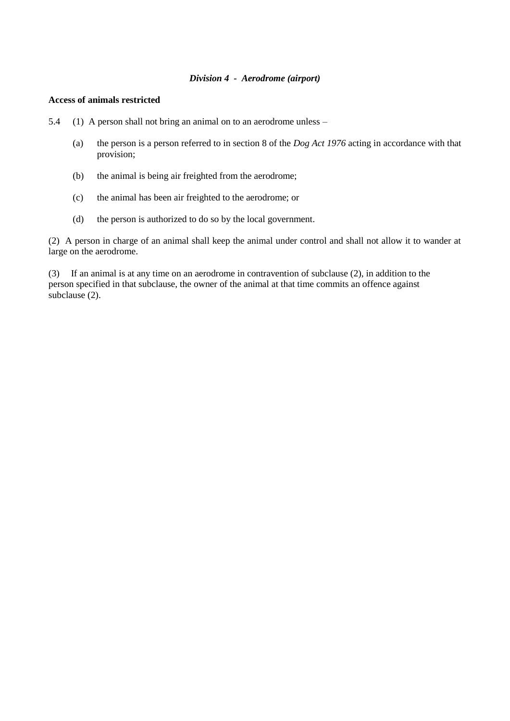#### *Division 4 - Aerodrome (airport)*

### **Access of animals restricted**

5.4 (1) A person shall not bring an animal on to an aerodrome unless –

- (a) the person is a person referred to in section 8 of the *Dog Act 1976* acting in accordance with that provision;
- (b) the animal is being air freighted from the aerodrome;
- (c) the animal has been air freighted to the aerodrome; or
- (d) the person is authorized to do so by the local government.

(2) A person in charge of an animal shall keep the animal under control and shall not allow it to wander at large on the aerodrome.

(3) If an animal is at any time on an aerodrome in contravention of subclause (2), in addition to the person specified in that subclause, the owner of the animal at that time commits an offence against subclause (2).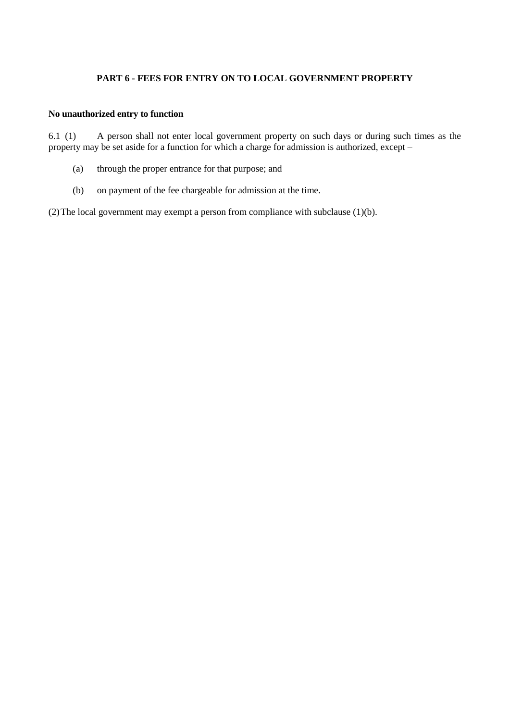# **PART 6 - FEES FOR ENTRY ON TO LOCAL GOVERNMENT PROPERTY**

# **No unauthorized entry to function**

6.1 (1) A person shall not enter local government property on such days or during such times as the property may be set aside for a function for which a charge for admission is authorized, except –

- (a) through the proper entrance for that purpose; and
- (b) on payment of the fee chargeable for admission at the time.

(2)The local government may exempt a person from compliance with subclause (1)(b).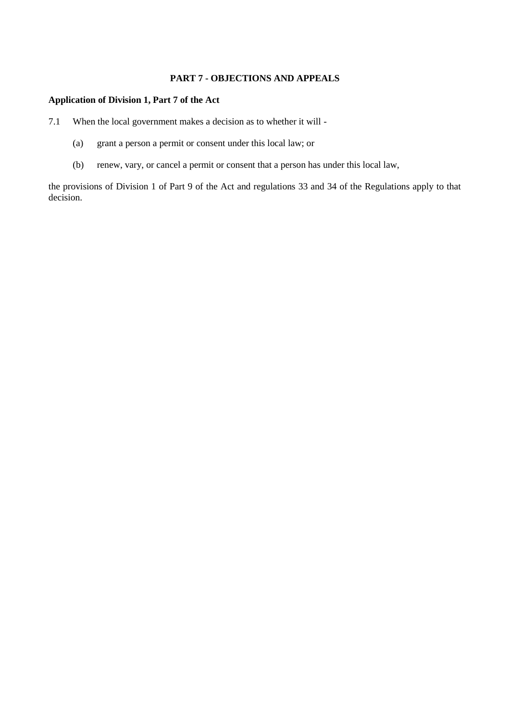# **PART 7 - OBJECTIONS AND APPEALS**

# **Application of Division 1, Part 7 of the Act**

- 7.1 When the local government makes a decision as to whether it will
	- (a) grant a person a permit or consent under this local law; or
	- (b) renew, vary, or cancel a permit or consent that a person has under this local law,

the provisions of Division 1 of Part 9 of the Act and regulations 33 and 34 of the Regulations apply to that decision.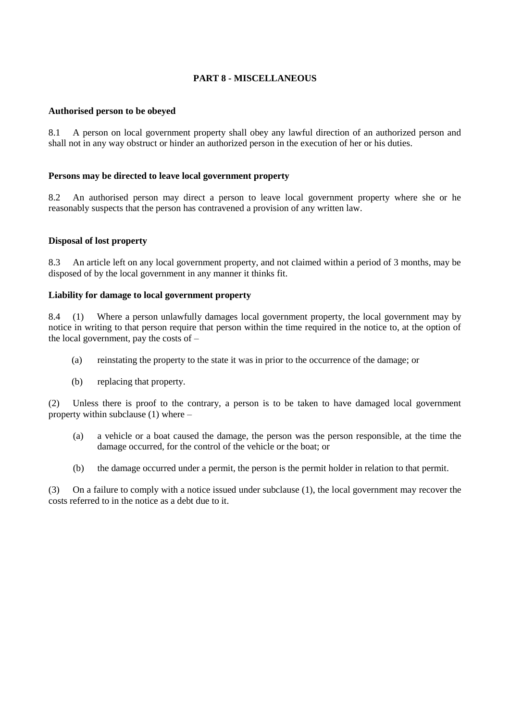# **PART 8 - MISCELLANEOUS**

# **Authorised person to be obeyed**

8.1 A person on local government property shall obey any lawful direction of an authorized person and shall not in any way obstruct or hinder an authorized person in the execution of her or his duties.

#### **Persons may be directed to leave local government property**

8.2 An authorised person may direct a person to leave local government property where she or he reasonably suspects that the person has contravened a provision of any written law.

#### **Disposal of lost property**

8.3 An article left on any local government property, and not claimed within a period of 3 months, may be disposed of by the local government in any manner it thinks fit.

#### **Liability for damage to local government property**

8.4 (1) Where a person unlawfully damages local government property, the local government may by notice in writing to that person require that person within the time required in the notice to, at the option of the local government, pay the costs of –

- (a) reinstating the property to the state it was in prior to the occurrence of the damage; or
- (b) replacing that property.

(2) Unless there is proof to the contrary, a person is to be taken to have damaged local government property within subclause (1) where –

- (a) a vehicle or a boat caused the damage, the person was the person responsible, at the time the damage occurred, for the control of the vehicle or the boat; or
- (b) the damage occurred under a permit, the person is the permit holder in relation to that permit.

(3) On a failure to comply with a notice issued under subclause (1), the local government may recover the costs referred to in the notice as a debt due to it.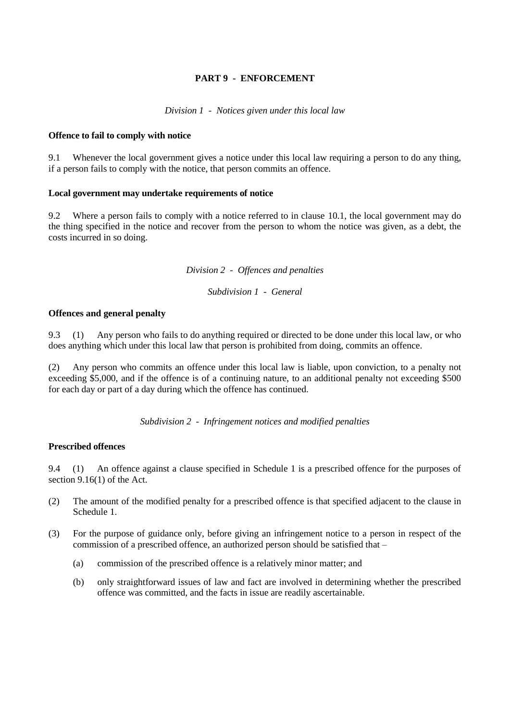# **PART 9 - ENFORCEMENT**

*Division 1 - Notices given under this local law*

#### **Offence to fail to comply with notice**

9.1 Whenever the local government gives a notice under this local law requiring a person to do any thing, if a person fails to comply with the notice, that person commits an offence.

# **Local government may undertake requirements of notice**

9.2 Where a person fails to comply with a notice referred to in clause 10.1, the local government may do the thing specified in the notice and recover from the person to whom the notice was given, as a debt, the costs incurred in so doing.

*Division 2 - Offences and penalties*

*Subdivision 1 - General*

### **Offences and general penalty**

9.3 (1) Any person who fails to do anything required or directed to be done under this local law, or who does anything which under this local law that person is prohibited from doing, commits an offence.

(2) Any person who commits an offence under this local law is liable, upon conviction, to a penalty not exceeding \$5,000, and if the offence is of a continuing nature, to an additional penalty not exceeding \$500 for each day or part of a day during which the offence has continued.

*Subdivision 2 - Infringement notices and modified penalties*

# **Prescribed offences**

9.4 (1) An offence against a clause specified in Schedule 1 is a prescribed offence for the purposes of section 9.16(1) of the Act.

- (2) The amount of the modified penalty for a prescribed offence is that specified adjacent to the clause in Schedule 1.
- (3) For the purpose of guidance only, before giving an infringement notice to a person in respect of the commission of a prescribed offence, an authorized person should be satisfied that –
	- (a) commission of the prescribed offence is a relatively minor matter; and
	- (b) only straightforward issues of law and fact are involved in determining whether the prescribed offence was committed, and the facts in issue are readily ascertainable.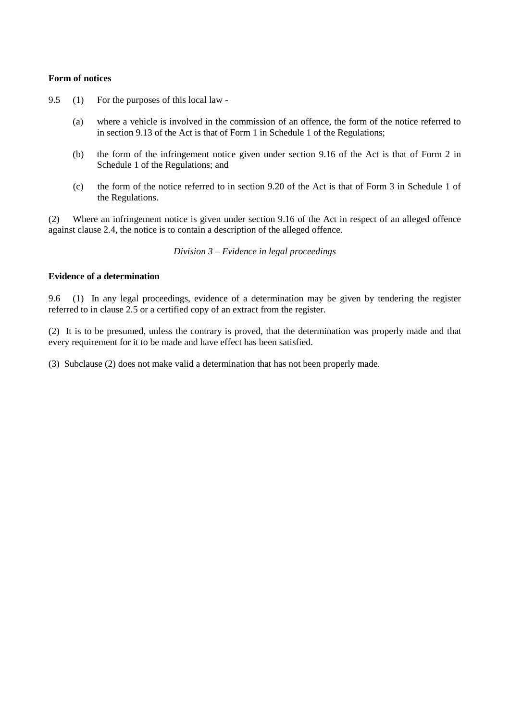#### **Form of notices**

- 9.5 (1) For the purposes of this local law
	- (a) where a vehicle is involved in the commission of an offence, the form of the notice referred to in section 9.13 of the Act is that of Form 1 in Schedule 1 of the Regulations;
	- (b) the form of the infringement notice given under section 9.16 of the Act is that of Form 2 in Schedule 1 of the Regulations; and
	- (c) the form of the notice referred to in section 9.20 of the Act is that of Form 3 in Schedule 1 of the Regulations.

(2) Where an infringement notice is given under section 9.16 of the Act in respect of an alleged offence against clause 2.4, the notice is to contain a description of the alleged offence.

*Division 3 – Evidence in legal proceedings*

#### **Evidence of a determination**

9.6 (1) In any legal proceedings, evidence of a determination may be given by tendering the register referred to in clause 2.5 or a certified copy of an extract from the register.

(2) It is to be presumed, unless the contrary is proved, that the determination was properly made and that every requirement for it to be made and have effect has been satisfied.

(3) Subclause (2) does not make valid a determination that has not been properly made.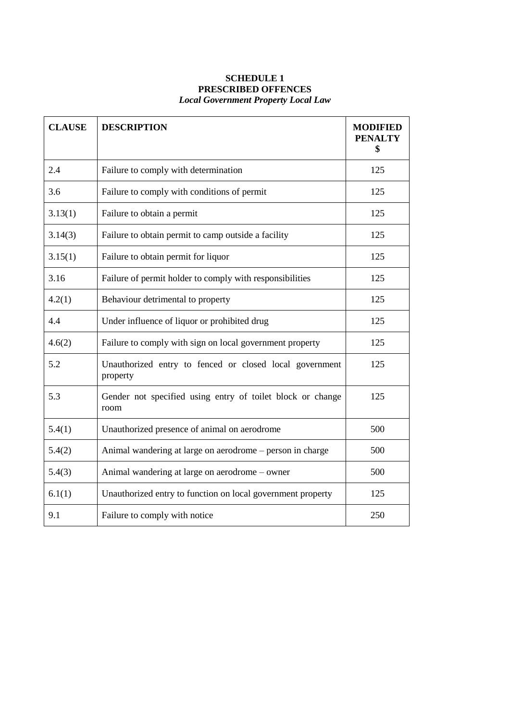# **SCHEDULE 1 PRESCRIBED OFFENCES** *Local Government Property Local Law*

| <b>CLAUSE</b> | <b>DESCRIPTION</b>                                                  | <b>MODIFIED</b><br><b>PENALTY</b><br>\$ |
|---------------|---------------------------------------------------------------------|-----------------------------------------|
| 2.4           | Failure to comply with determination                                | 125                                     |
| 3.6           | Failure to comply with conditions of permit                         | 125                                     |
| 3.13(1)       | Failure to obtain a permit                                          | 125                                     |
| 3.14(3)       | Failure to obtain permit to camp outside a facility                 | 125                                     |
| 3.15(1)       | Failure to obtain permit for liquor                                 | 125                                     |
| 3.16          | Failure of permit holder to comply with responsibilities            | 125                                     |
| 4.2(1)        | Behaviour detrimental to property                                   | 125                                     |
| 4.4           | Under influence of liquor or prohibited drug                        | 125                                     |
| 4.6(2)        | Failure to comply with sign on local government property            | 125                                     |
| 5.2           | Unauthorized entry to fenced or closed local government<br>property | 125                                     |
| 5.3           | Gender not specified using entry of toilet block or change<br>room  | 125                                     |
| 5.4(1)        | Unauthorized presence of animal on aerodrome                        | 500                                     |
| 5.4(2)        | Animal wandering at large on aerodrome – person in charge           | 500                                     |
| 5.4(3)        | Animal wandering at large on aerodrome – owner                      | 500                                     |
| 6.1(1)        | Unauthorized entry to function on local government property         | 125                                     |
| 9.1           | Failure to comply with notice                                       | 250                                     |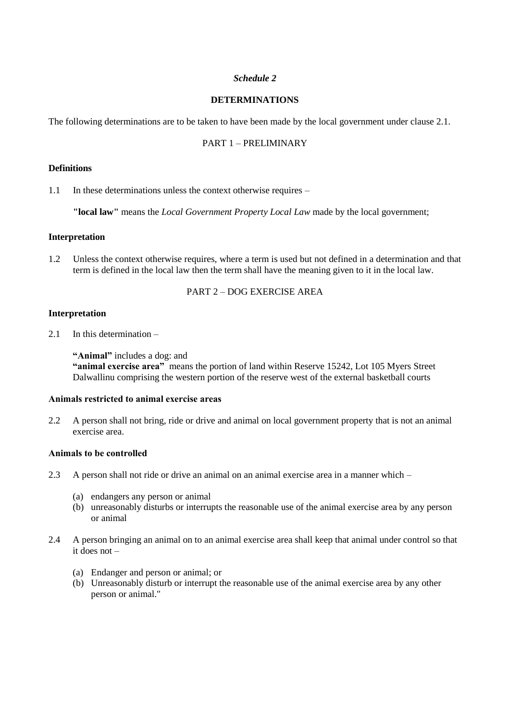# *Schedule 2*

# **DETERMINATIONS**

The following determinations are to be taken to have been made by the local government under clause 2.1.

# PART 1 – PRELIMINARY

#### **Definitions**

1.1 In these determinations unless the context otherwise requires –

**"local law"** means the *Local Government Property Local Law* made by the local government;

#### **Interpretation**

1.2 Unless the context otherwise requires, where a term is used but not defined in a determination and that term is defined in the local law then the term shall have the meaning given to it in the local law.

# PART 2 – DOG EXERCISE AREA

#### **Interpretation**

2.1 In this determination –

**"Animal"** includes a dog: and **"animal exercise area"** means the portion of land within Reserve 15242, Lot 105 Myers Street Dalwallinu comprising the western portion of the reserve west of the external basketball courts

# **Animals restricted to animal exercise areas**

2.2 A person shall not bring, ride or drive and animal on local government property that is not an animal exercise area.

# **Animals to be controlled**

- 2.3 A person shall not ride or drive an animal on an animal exercise area in a manner which
	- (a) endangers any person or animal
	- (b) unreasonably disturbs or interrupts the reasonable use of the animal exercise area by any person or animal
- 2.4 A person bringing an animal on to an animal exercise area shall keep that animal under control so that it does not –
	- (a) Endanger and person or animal; or
	- (b) Unreasonably disturb or interrupt the reasonable use of the animal exercise area by any other person or animal."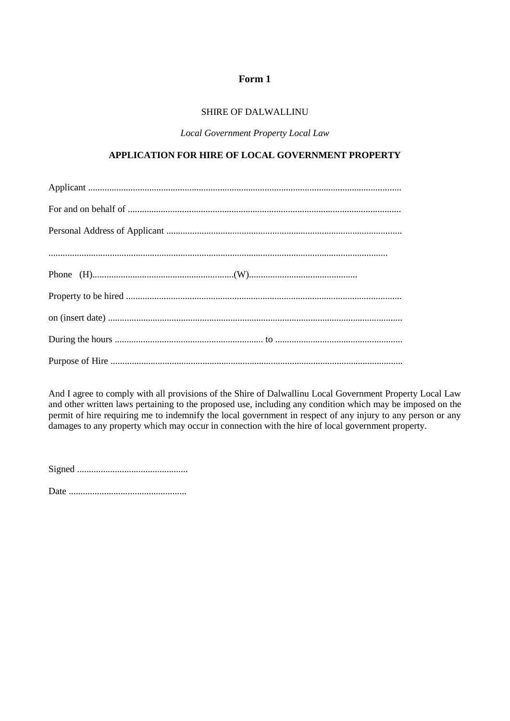# SHIRE OF DALWALLINU

*Local Government Property Local Law*

# **APPLICATION FOR HIRE OF LOCAL GOVERNMENT PROPERTY**

And I agree to comply with all provisions of the Shire of Dalwallinu Local Government Property Local Law and other written laws pertaining to the proposed use, including any condition which may be imposed on the permit of hire requiring me to indemnify the local government in respect of any injury to any person or any damages to any property which may occur in connection with the hire of local government property.

Signed ...............................................

Date ..................................................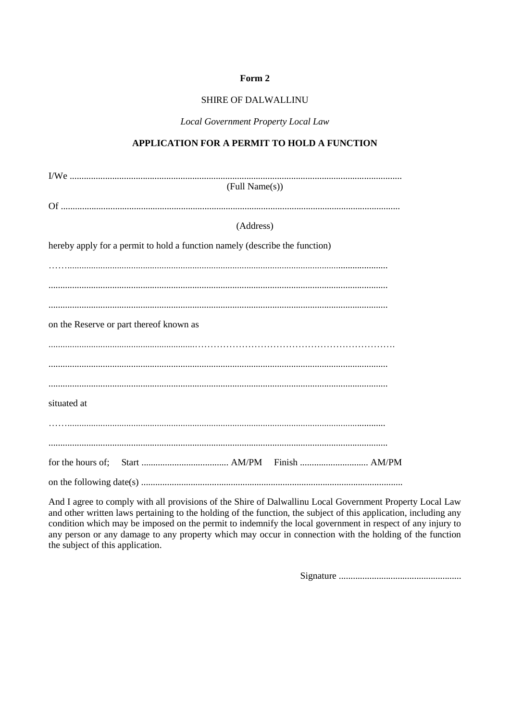### **SHIRE OF DALWALLINU**

Local Government Property Local Law

# APPLICATION FOR A PERMIT TO HOLD A FUNCTION

| (Full Name(s))                                                              |
|-----------------------------------------------------------------------------|
|                                                                             |
|                                                                             |
|                                                                             |
| (Address)                                                                   |
| hereby apply for a permit to hold a function namely (describe the function) |
|                                                                             |
|                                                                             |
|                                                                             |
|                                                                             |
|                                                                             |
|                                                                             |
| on the Reserve or part thereof known as                                     |
|                                                                             |
|                                                                             |
|                                                                             |
|                                                                             |
|                                                                             |
|                                                                             |
| situated at                                                                 |
|                                                                             |
|                                                                             |
|                                                                             |
|                                                                             |
|                                                                             |
|                                                                             |
|                                                                             |

And I agree to comply with all provisions of the Shire of Dalwallinu Local Government Property Local Law and other written laws pertaining to the holding of the function, the subject of this application, including any condition which may be imposed on the permit to indemnify the local government in respect of any injury to any person or any damage to any property which may occur in connection with the holding of the function the subject of this application.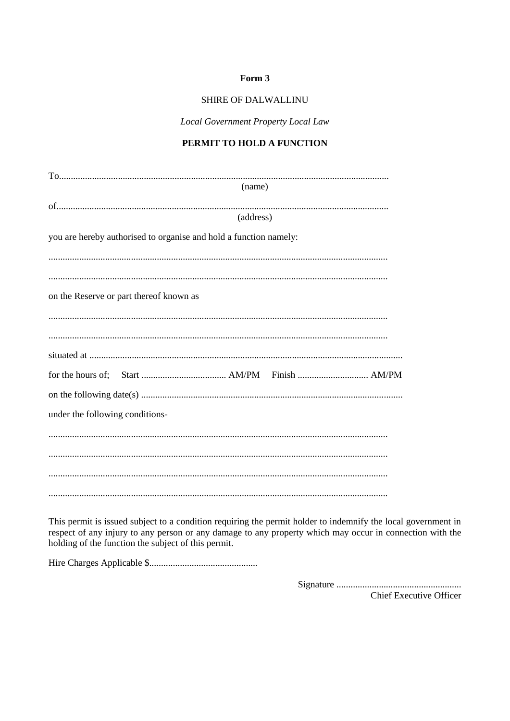# SHIRE OF DALWALLINU

Local Government Property Local Law

# PERMIT TO HOLD A FUNCTION

| (name)                                                            |  |
|-------------------------------------------------------------------|--|
|                                                                   |  |
|                                                                   |  |
| (address)                                                         |  |
| you are hereby authorised to organise and hold a function namely: |  |
|                                                                   |  |
|                                                                   |  |
|                                                                   |  |
| on the Reserve or part thereof known as                           |  |
|                                                                   |  |
|                                                                   |  |
|                                                                   |  |
|                                                                   |  |
|                                                                   |  |
|                                                                   |  |
|                                                                   |  |
|                                                                   |  |
| under the following conditions-                                   |  |
|                                                                   |  |
|                                                                   |  |
|                                                                   |  |
|                                                                   |  |
|                                                                   |  |
|                                                                   |  |
|                                                                   |  |

This permit is issued subject to a condition requiring the permit holder to indemnify the local government in respect of any injury to any person or any damage to any property which may occur in connection with the holding of the function the subject of this permit.

**Chief Executive Officer**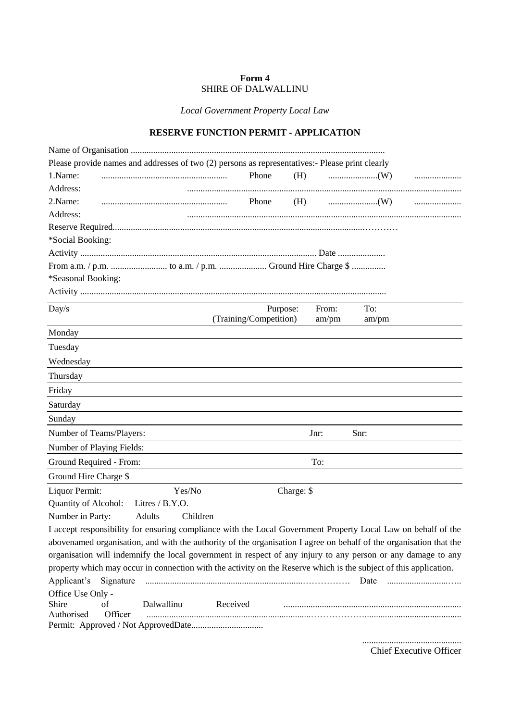# **Form 4** SHIRE OF DALWALLINU

*Local Government Property Local Law*

# **RESERVE FUNCTION PERMIT - APPLICATION**

| Please provide names and addresses of two (2) persons as representatives:- Please print clearly                    |                        |            |       |  |
|--------------------------------------------------------------------------------------------------------------------|------------------------|------------|-------|--|
| 1.Name:                                                                                                            | Phone                  | (H)        |       |  |
| Address:                                                                                                           |                        |            |       |  |
| 2.Name:                                                                                                            | Phone                  | (H)        |       |  |
| Address:                                                                                                           |                        |            |       |  |
|                                                                                                                    |                        |            |       |  |
| *Social Booking:                                                                                                   |                        |            |       |  |
|                                                                                                                    |                        |            |       |  |
|                                                                                                                    |                        |            |       |  |
| *Seasonal Booking:                                                                                                 |                        |            |       |  |
|                                                                                                                    |                        |            |       |  |
| Day/s                                                                                                              | Purpose:               | From:      | To:   |  |
|                                                                                                                    | (Training/Competition) | am/pm      | am/pm |  |
| Monday                                                                                                             |                        |            |       |  |
| Tuesday                                                                                                            |                        |            |       |  |
| Wednesday                                                                                                          |                        |            |       |  |
| Thursday                                                                                                           |                        |            |       |  |
| Friday                                                                                                             |                        |            |       |  |
| Saturday                                                                                                           |                        |            |       |  |
| Sunday                                                                                                             |                        |            |       |  |
| Number of Teams/Players:                                                                                           |                        | Jnr:       | Snr:  |  |
| Number of Playing Fields:                                                                                          |                        |            |       |  |
| Ground Required - From:                                                                                            |                        | To:        |       |  |
| Ground Hire Charge \$                                                                                              |                        |            |       |  |
| Liquor Permit:<br>Yes/No                                                                                           |                        | Charge: \$ |       |  |
| Quantity of Alcohol:<br>Litres / B.Y.O.                                                                            |                        |            |       |  |
| Number in Party:<br>Adults<br>Children                                                                             |                        |            |       |  |
| I accept responsibility for ensuring compliance with the Local Government Property Local Law on behalf of the      |                        |            |       |  |
| abovenamed organisation, and with the authority of the organisation I agree on behalf of the organisation that the |                        |            |       |  |
| organisation will indemnify the local government in respect of any injury to any person or any damage to any       |                        |            |       |  |
| property which may occur in connection with the activity on the Reserve which is the subject of this application.  |                        |            |       |  |
| Applicant's                                                                                                        |                        |            |       |  |
| Office Use Only -<br>Dalwallinu<br>Shire<br>оf<br>Authorised<br>Officer                                            | Received               |            |       |  |
|                                                                                                                    |                        |            |       |  |
|                                                                                                                    |                        |            |       |  |

Chief Executive Officer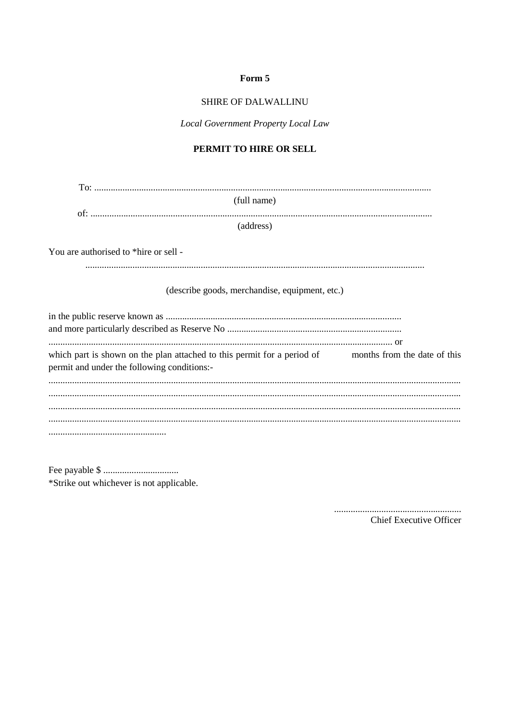# SHIRE OF DALWALLINU

Local Government Property Local Law

# PERMIT TO HIRE OR SELL

| (full name)                                                                                                                                         |
|-----------------------------------------------------------------------------------------------------------------------------------------------------|
| (address)                                                                                                                                           |
| You are authorised to *hire or sell -                                                                                                               |
|                                                                                                                                                     |
| (describe goods, merchandise, equipment, etc.)                                                                                                      |
|                                                                                                                                                     |
| which part is shown on the plan attached to this permit for a period of months from the date of this<br>permit and under the following conditions:- |
|                                                                                                                                                     |
|                                                                                                                                                     |
|                                                                                                                                                     |
|                                                                                                                                                     |

\*Strike out whichever is not applicable.

> **Chief Executive Officer**